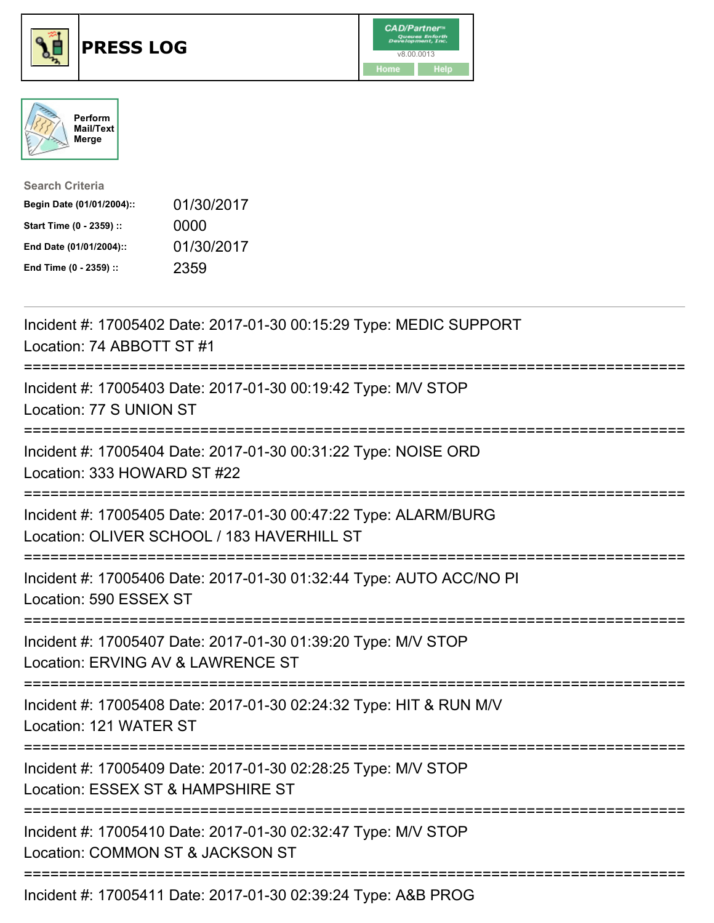





| <b>Search Criteria</b>    |            |
|---------------------------|------------|
| Begin Date (01/01/2004):: | 01/30/2017 |
| Start Time (0 - 2359) ::  | 0000       |
| End Date (01/01/2004)::   | 01/30/2017 |
| End Time (0 - 2359) ::    | 2359       |

| Incident #: 17005402 Date: 2017-01-30 00:15:29 Type: MEDIC SUPPORT<br>Location: 74 ABBOTT ST #1                                                                        |
|------------------------------------------------------------------------------------------------------------------------------------------------------------------------|
| Incident #: 17005403 Date: 2017-01-30 00:19:42 Type: M/V STOP<br>Location: 77 S UNION ST                                                                               |
| Incident #: 17005404 Date: 2017-01-30 00:31:22 Type: NOISE ORD<br>Location: 333 HOWARD ST #22                                                                          |
| Incident #: 17005405 Date: 2017-01-30 00:47:22 Type: ALARM/BURG<br>Location: OLIVER SCHOOL / 183 HAVERHILL ST<br>.------------------------------                       |
| Incident #: 17005406 Date: 2017-01-30 01:32:44 Type: AUTO ACC/NO PI<br>Location: 590 ESSEX ST                                                                          |
| ------------------------------------<br>Incident #: 17005407 Date: 2017-01-30 01:39:20 Type: M/V STOP<br>Location: ERVING AV & LAWRENCE ST<br>------------------------ |
| Incident #: 17005408 Date: 2017-01-30 02:24:32 Type: HIT & RUN M/V<br>Location: 121 WATER ST                                                                           |
| :===============================<br>Incident #: 17005409 Date: 2017-01-30 02:28:25 Type: M/V STOP<br>Location: ESSEX ST & HAMPSHIRE ST                                 |
| Incident #: 17005410 Date: 2017-01-30 02:32:47 Type: M/V STOP<br>Location: COMMON ST & JACKSON ST                                                                      |
| $Jnq/dn+H_1$ 47005444 Dete: 2047 04.20.03.20.24 Tune: ARD DDOC                                                                                                         |

Incident #: 17005411 Date: 2017-01-30 02:39:24 Type: A&B PROG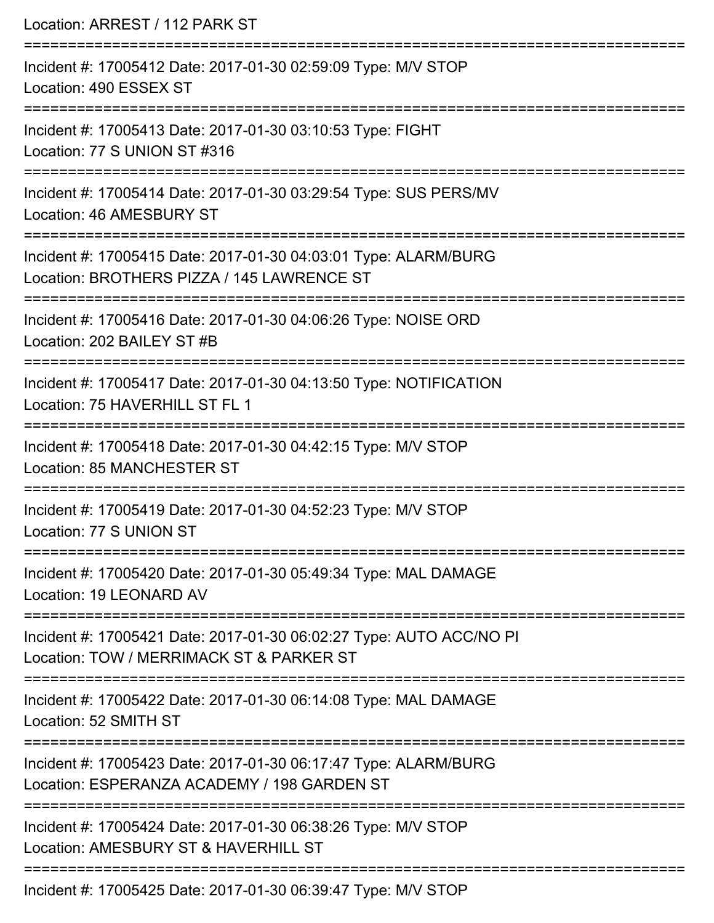| Location: ARREST / 112 PARK ST                                                                                  |
|-----------------------------------------------------------------------------------------------------------------|
| Incident #: 17005412 Date: 2017-01-30 02:59:09 Type: M/V STOP<br>Location: 490 ESSEX ST                         |
| Incident #: 17005413 Date: 2017-01-30 03:10:53 Type: FIGHT<br>Location: 77 S UNION ST #316                      |
| Incident #: 17005414 Date: 2017-01-30 03:29:54 Type: SUS PERS/MV<br>Location: 46 AMESBURY ST                    |
| Incident #: 17005415 Date: 2017-01-30 04:03:01 Type: ALARM/BURG<br>Location: BROTHERS PIZZA / 145 LAWRENCE ST   |
| Incident #: 17005416 Date: 2017-01-30 04:06:26 Type: NOISE ORD<br>Location: 202 BAILEY ST #B                    |
| Incident #: 17005417 Date: 2017-01-30 04:13:50 Type: NOTIFICATION<br>Location: 75 HAVERHILL ST FL 1             |
| Incident #: 17005418 Date: 2017-01-30 04:42:15 Type: M/V STOP<br><b>Location: 85 MANCHESTER ST</b>              |
| Incident #: 17005419 Date: 2017-01-30 04:52:23 Type: M/V STOP<br>Location: 77 S UNION ST                        |
| Incident #: 17005420 Date: 2017-01-30 05:49:34 Type: MAL DAMAGE<br>Location: 19 LEONARD AV                      |
| Incident #: 17005421 Date: 2017-01-30 06:02:27 Type: AUTO ACC/NO PI<br>Location: TOW / MERRIMACK ST & PARKER ST |
| Incident #: 17005422 Date: 2017-01-30 06:14:08 Type: MAL DAMAGE<br>Location: 52 SMITH ST                        |
| Incident #: 17005423 Date: 2017-01-30 06:17:47 Type: ALARM/BURG<br>Location: ESPERANZA ACADEMY / 198 GARDEN ST  |
| Incident #: 17005424 Date: 2017-01-30 06:38:26 Type: M/V STOP<br>Location: AMESBURY ST & HAVERHILL ST           |
| Incident #: 17005425 Date: 2017-01-30 06:39:47 Type: M/V STOP                                                   |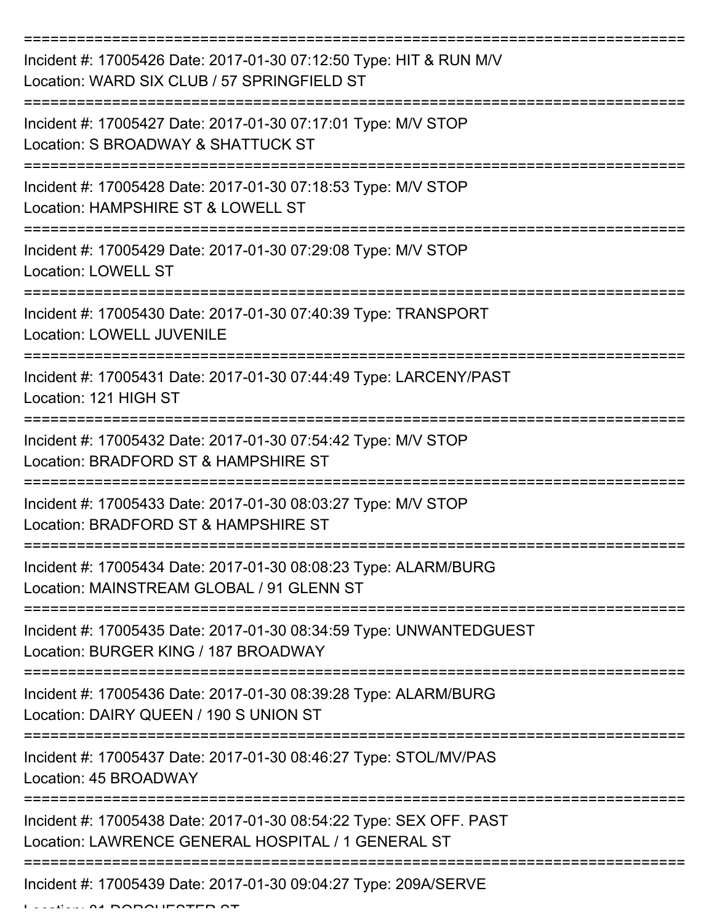| Incident #: 17005426 Date: 2017-01-30 07:12:50 Type: HIT & RUN M/V<br>Location: WARD SIX CLUB / 57 SPRINGFIELD ST        |
|--------------------------------------------------------------------------------------------------------------------------|
| Incident #: 17005427 Date: 2017-01-30 07:17:01 Type: M/V STOP<br>Location: S BROADWAY & SHATTUCK ST                      |
| Incident #: 17005428 Date: 2017-01-30 07:18:53 Type: M/V STOP<br>Location: HAMPSHIRE ST & LOWELL ST                      |
| Incident #: 17005429 Date: 2017-01-30 07:29:08 Type: M/V STOP<br><b>Location: LOWELL ST</b>                              |
| Incident #: 17005430 Date: 2017-01-30 07:40:39 Type: TRANSPORT<br><b>Location: LOWELL JUVENILE</b>                       |
| Incident #: 17005431 Date: 2017-01-30 07:44:49 Type: LARCENY/PAST<br>Location: 121 HIGH ST                               |
| Incident #: 17005432 Date: 2017-01-30 07:54:42 Type: M/V STOP<br>Location: BRADFORD ST & HAMPSHIRE ST                    |
| Incident #: 17005433 Date: 2017-01-30 08:03:27 Type: M/V STOP<br>Location: BRADFORD ST & HAMPSHIRE ST                    |
| Incident #: 17005434 Date: 2017-01-30 08:08:23 Type: ALARM/BURG<br>Location: MAINSTREAM GLOBAL / 91 GLENN ST             |
| Incident #: 17005435 Date: 2017-01-30 08:34:59 Type: UNWANTEDGUEST<br>Location: BURGER KING / 187 BROADWAY               |
| Incident #: 17005436 Date: 2017-01-30 08:39:28 Type: ALARM/BURG<br>Location: DAIRY QUEEN / 190 S UNION ST                |
| Incident #: 17005437 Date: 2017-01-30 08:46:27 Type: STOL/MV/PAS<br>Location: 45 BROADWAY                                |
| Incident #: 17005438 Date: 2017-01-30 08:54:22 Type: SEX OFF. PAST<br>Location: LAWRENCE GENERAL HOSPITAL / 1 GENERAL ST |
| Incident #: 17005439 Date: 2017-01-30 09:04:27 Type: 209A/SERVE                                                          |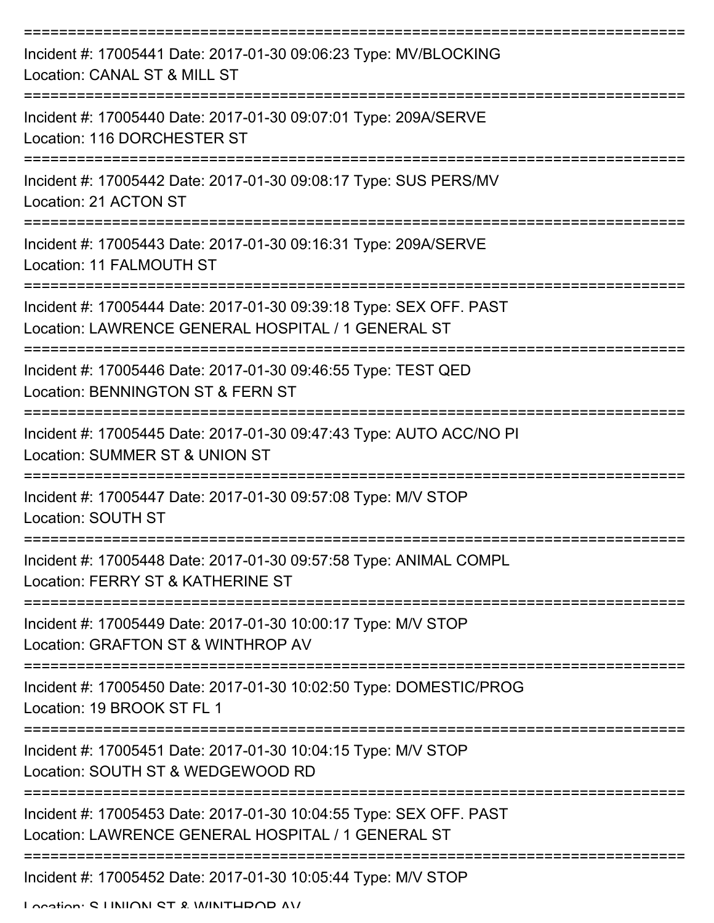| Incident #: 17005441 Date: 2017-01-30 09:06:23 Type: MV/BLOCKING<br>Location: CANAL ST & MILL ST                         |
|--------------------------------------------------------------------------------------------------------------------------|
| Incident #: 17005440 Date: 2017-01-30 09:07:01 Type: 209A/SERVE<br>Location: 116 DORCHESTER ST                           |
| Incident #: 17005442 Date: 2017-01-30 09:08:17 Type: SUS PERS/MV<br>Location: 21 ACTON ST                                |
| Incident #: 17005443 Date: 2017-01-30 09:16:31 Type: 209A/SERVE<br>Location: 11 FALMOUTH ST                              |
| Incident #: 17005444 Date: 2017-01-30 09:39:18 Type: SEX OFF. PAST<br>Location: LAWRENCE GENERAL HOSPITAL / 1 GENERAL ST |
| Incident #: 17005446 Date: 2017-01-30 09:46:55 Type: TEST QED<br>Location: BENNINGTON ST & FERN ST                       |
| Incident #: 17005445 Date: 2017-01-30 09:47:43 Type: AUTO ACC/NO PI<br>Location: SUMMER ST & UNION ST                    |
| Incident #: 17005447 Date: 2017-01-30 09:57:08 Type: M/V STOP<br>Location: SOUTH ST                                      |
| Incident #: 17005448 Date: 2017-01-30 09:57:58 Type: ANIMAL COMPL<br>Location: FERRY ST & KATHERINE ST                   |
| Incident #: 17005449 Date: 2017-01-30 10:00:17 Type: M/V STOP<br>Location: GRAFTON ST & WINTHROP AV                      |
| Incident #: 17005450 Date: 2017-01-30 10:02:50 Type: DOMESTIC/PROG<br>Location: 19 BROOK ST FL 1                         |
| Incident #: 17005451 Date: 2017-01-30 10:04:15 Type: M/V STOP<br>Location: SOUTH ST & WEDGEWOOD RD                       |
| Incident #: 17005453 Date: 2017-01-30 10:04:55 Type: SEX OFF. PAST<br>Location: LAWRENCE GENERAL HOSPITAL / 1 GENERAL ST |
| Incident #: 17005452 Date: 2017-01-30 10:05:44 Type: M/V STOP<br>Location: C LINIIONI CT & MINITHDOD AV                  |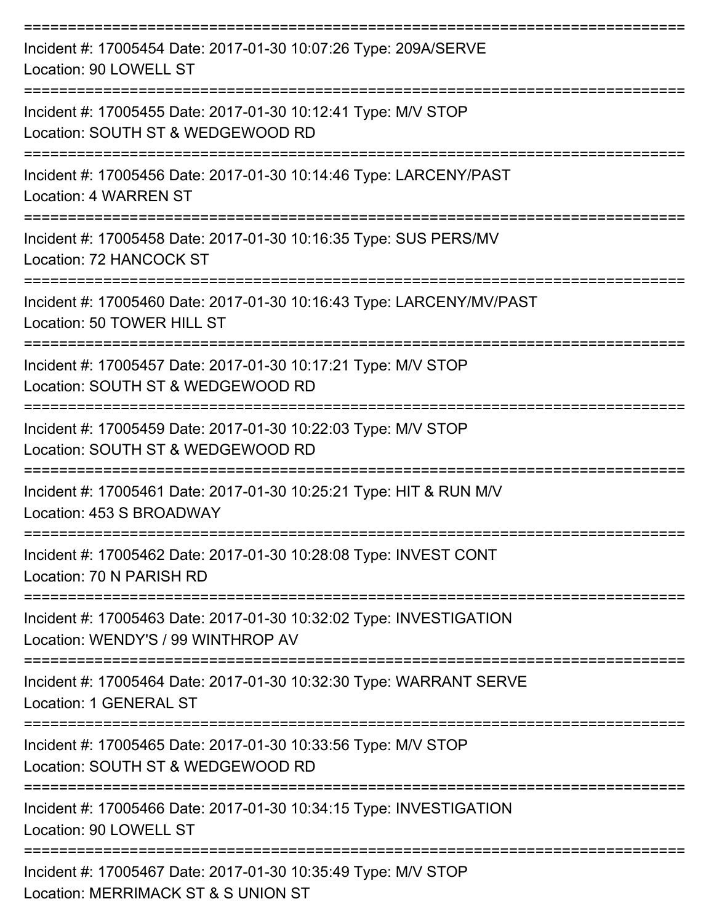| Incident #: 17005454 Date: 2017-01-30 10:07:26 Type: 209A/SERVE<br>Location: 90 LOWELL ST                |
|----------------------------------------------------------------------------------------------------------|
| Incident #: 17005455 Date: 2017-01-30 10:12:41 Type: M/V STOP<br>Location: SOUTH ST & WEDGEWOOD RD       |
| Incident #: 17005456 Date: 2017-01-30 10:14:46 Type: LARCENY/PAST<br><b>Location: 4 WARREN ST</b>        |
| Incident #: 17005458 Date: 2017-01-30 10:16:35 Type: SUS PERS/MV<br>Location: 72 HANCOCK ST              |
| Incident #: 17005460 Date: 2017-01-30 10:16:43 Type: LARCENY/MV/PAST<br>Location: 50 TOWER HILL ST       |
| Incident #: 17005457 Date: 2017-01-30 10:17:21 Type: M/V STOP<br>Location: SOUTH ST & WEDGEWOOD RD       |
| Incident #: 17005459 Date: 2017-01-30 10:22:03 Type: M/V STOP<br>Location: SOUTH ST & WEDGEWOOD RD       |
| Incident #: 17005461 Date: 2017-01-30 10:25:21 Type: HIT & RUN M/V<br>Location: 453 S BROADWAY           |
| Incident #: 17005462 Date: 2017-01-30 10:28:08 Type: INVEST CONT<br>Location: 70 N PARISH RD             |
| Incident #: 17005463 Date: 2017-01-30 10:32:02 Type: INVESTIGATION<br>Location: WENDY'S / 99 WINTHROP AV |
| Incident #: 17005464 Date: 2017-01-30 10:32:30 Type: WARRANT SERVE<br>Location: 1 GENERAL ST             |
| Incident #: 17005465 Date: 2017-01-30 10:33:56 Type: M/V STOP<br>Location: SOUTH ST & WEDGEWOOD RD       |
| Incident #: 17005466 Date: 2017-01-30 10:34:15 Type: INVESTIGATION<br>Location: 90 LOWELL ST             |
| Incident #: 17005467 Date: 2017-01-30 10:35:49 Type: M/V STOP<br>Location: MERRIMACK ST & S UNION ST     |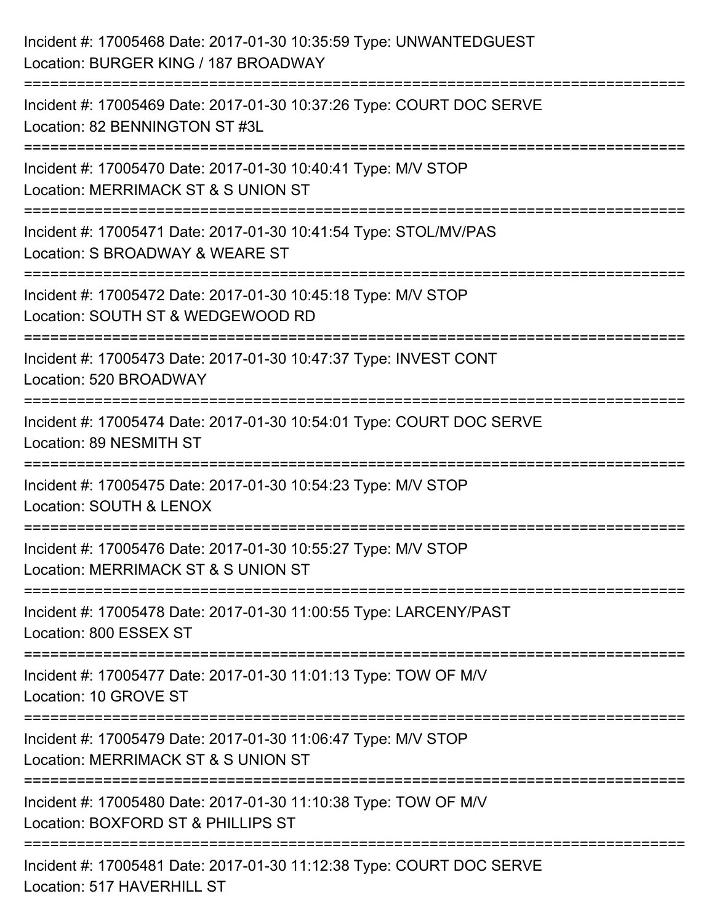| Incident #: 17005468 Date: 2017-01-30 10:35:59 Type: UNWANTEDGUEST<br>Location: BURGER KING / 187 BROADWAY                     |
|--------------------------------------------------------------------------------------------------------------------------------|
| Incident #: 17005469 Date: 2017-01-30 10:37:26 Type: COURT DOC SERVE<br>Location: 82 BENNINGTON ST #3L                         |
| Incident #: 17005470 Date: 2017-01-30 10:40:41 Type: M/V STOP<br>Location: MERRIMACK ST & S UNION ST<br>====================== |
| Incident #: 17005471 Date: 2017-01-30 10:41:54 Type: STOL/MV/PAS<br>Location: S BROADWAY & WEARE ST                            |
| Incident #: 17005472 Date: 2017-01-30 10:45:18 Type: M/V STOP<br>Location: SOUTH ST & WEDGEWOOD RD<br>=============            |
| Incident #: 17005473 Date: 2017-01-30 10:47:37 Type: INVEST CONT<br>Location: 520 BROADWAY                                     |
| Incident #: 17005474 Date: 2017-01-30 10:54:01 Type: COURT DOC SERVE<br>Location: 89 NESMITH ST                                |
| Incident #: 17005475 Date: 2017-01-30 10:54:23 Type: M/V STOP<br>Location: SOUTH & LENOX                                       |
| Incident #: 17005476 Date: 2017-01-30 10:55:27 Type: M/V STOP<br>Location: MERRIMACK ST & S UNION ST                           |
| Incident #: 17005478 Date: 2017-01-30 11:00:55 Type: LARCENY/PAST<br>Location: 800 ESSEX ST                                    |
| Incident #: 17005477 Date: 2017-01-30 11:01:13 Type: TOW OF M/V<br>Location: 10 GROVE ST                                       |
| Incident #: 17005479 Date: 2017-01-30 11:06:47 Type: M/V STOP<br>Location: MERRIMACK ST & S UNION ST                           |
| Incident #: 17005480 Date: 2017-01-30 11:10:38 Type: TOW OF M/V<br>Location: BOXFORD ST & PHILLIPS ST                          |
| Incident #: 17005481 Date: 2017-01-30 11:12:38 Type: COURT DOC SERVE<br>Location: 517 HAVERHILL ST                             |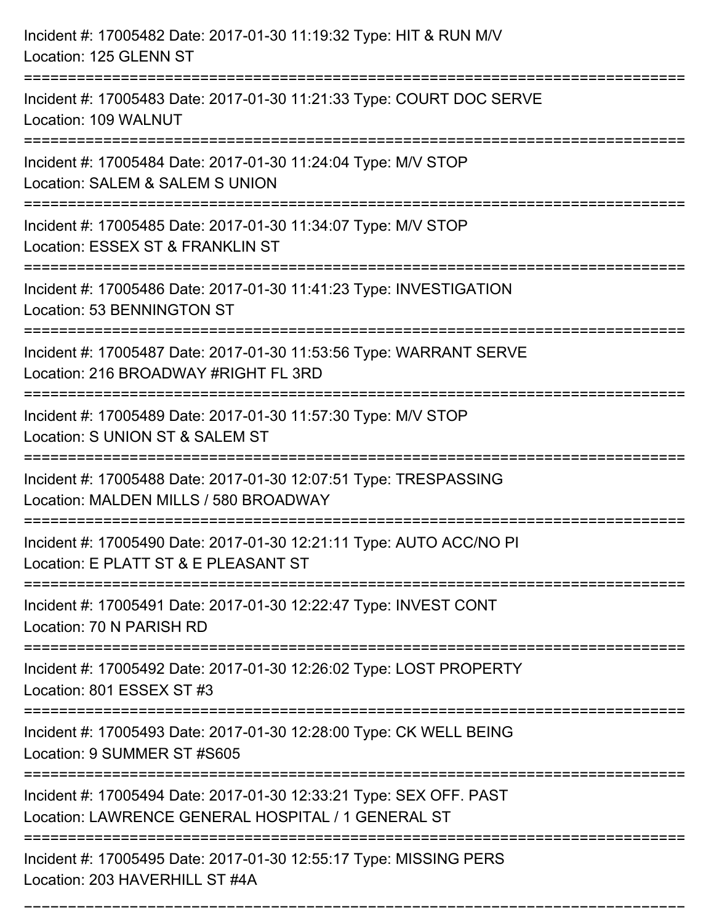| Incident #: 17005482 Date: 2017-01-30 11:19:32 Type: HIT & RUN M/V<br>Location: 125 GLENN ST                                  |
|-------------------------------------------------------------------------------------------------------------------------------|
| ==================<br>Incident #: 17005483 Date: 2017-01-30 11:21:33 Type: COURT DOC SERVE<br>Location: 109 WALNUT            |
| Incident #: 17005484 Date: 2017-01-30 11:24:04 Type: M/V STOP<br>Location: SALEM & SALEM S UNION<br>:======================== |
| Incident #: 17005485 Date: 2017-01-30 11:34:07 Type: M/V STOP<br>Location: ESSEX ST & FRANKLIN ST                             |
| Incident #: 17005486 Date: 2017-01-30 11:41:23 Type: INVESTIGATION<br>Location: 53 BENNINGTON ST                              |
| Incident #: 17005487 Date: 2017-01-30 11:53:56 Type: WARRANT SERVE<br>Location: 216 BROADWAY #RIGHT FL 3RD                    |
| Incident #: 17005489 Date: 2017-01-30 11:57:30 Type: M/V STOP<br>Location: S UNION ST & SALEM ST                              |
| Incident #: 17005488 Date: 2017-01-30 12:07:51 Type: TRESPASSING<br>Location: MALDEN MILLS / 580 BROADWAY                     |
| Incident #: 17005490 Date: 2017-01-30 12:21:11 Type: AUTO ACC/NO PI<br>Location: E PLATT ST & E PLEASANT ST                   |
| Incident #: 17005491 Date: 2017-01-30 12:22:47 Type: INVEST CONT<br>Location: 70 N PARISH RD                                  |
| Incident #: 17005492 Date: 2017-01-30 12:26:02 Type: LOST PROPERTY<br>Location: 801 ESSEX ST #3                               |
| Incident #: 17005493 Date: 2017-01-30 12:28:00 Type: CK WELL BEING<br>Location: 9 SUMMER ST #S605                             |
| Incident #: 17005494 Date: 2017-01-30 12:33:21 Type: SEX OFF. PAST<br>Location: LAWRENCE GENERAL HOSPITAL / 1 GENERAL ST      |
| Incident #: 17005495 Date: 2017-01-30 12:55:17 Type: MISSING PERS<br>Location: 203 HAVERHILL ST #4A                           |

===========================================================================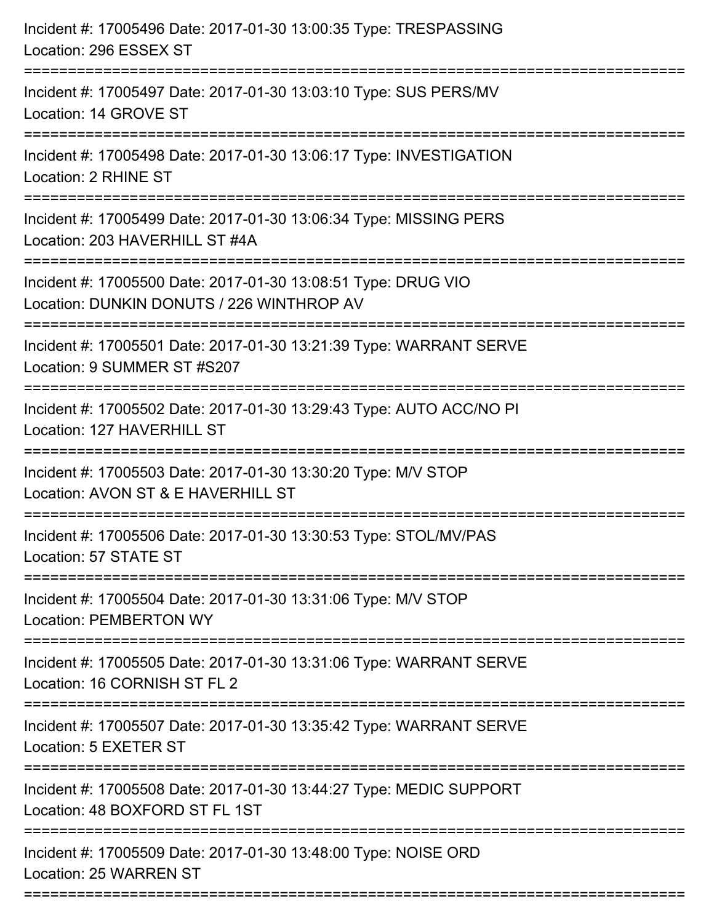| Incident #: 17005496 Date: 2017-01-30 13:00:35 Type: TRESPASSING<br>Location: 296 ESSEX ST                                              |
|-----------------------------------------------------------------------------------------------------------------------------------------|
| :=====================<br>Incident #: 17005497 Date: 2017-01-30 13:03:10 Type: SUS PERS/MV<br>Location: 14 GROVE ST                     |
| Incident #: 17005498 Date: 2017-01-30 13:06:17 Type: INVESTIGATION<br>Location: 2 RHINE ST                                              |
| Incident #: 17005499 Date: 2017-01-30 13:06:34 Type: MISSING PERS<br>Location: 203 HAVERHILL ST #4A                                     |
| Incident #: 17005500 Date: 2017-01-30 13:08:51 Type: DRUG VIO<br>Location: DUNKIN DONUTS / 226 WINTHROP AV<br>:====================     |
| Incident #: 17005501 Date: 2017-01-30 13:21:39 Type: WARRANT SERVE<br>Location: 9 SUMMER ST #S207<br>:=================                 |
| Incident #: 17005502 Date: 2017-01-30 13:29:43 Type: AUTO ACC/NO PI<br>Location: 127 HAVERHILL ST<br>================================== |
| Incident #: 17005503 Date: 2017-01-30 13:30:20 Type: M/V STOP<br>Location: AVON ST & E HAVERHILL ST                                     |
| Incident #: 17005506 Date: 2017-01-30 13:30:53 Type: STOL/MV/PAS<br>Location: 57 STATE ST                                               |
| Incident #: 17005504 Date: 2017-01-30 13:31:06 Type: M/V STOP<br><b>Location: PEMBERTON WY</b>                                          |
| Incident #: 17005505 Date: 2017-01-30 13:31:06 Type: WARRANT SERVE<br>Location: 16 CORNISH ST FL 2                                      |
| Incident #: 17005507 Date: 2017-01-30 13:35:42 Type: WARRANT SERVE<br>Location: 5 EXETER ST                                             |
| Incident #: 17005508 Date: 2017-01-30 13:44:27 Type: MEDIC SUPPORT<br>Location: 48 BOXFORD ST FL 1ST                                    |
| Incident #: 17005509 Date: 2017-01-30 13:48:00 Type: NOISE ORD<br>Location: 25 WARREN ST                                                |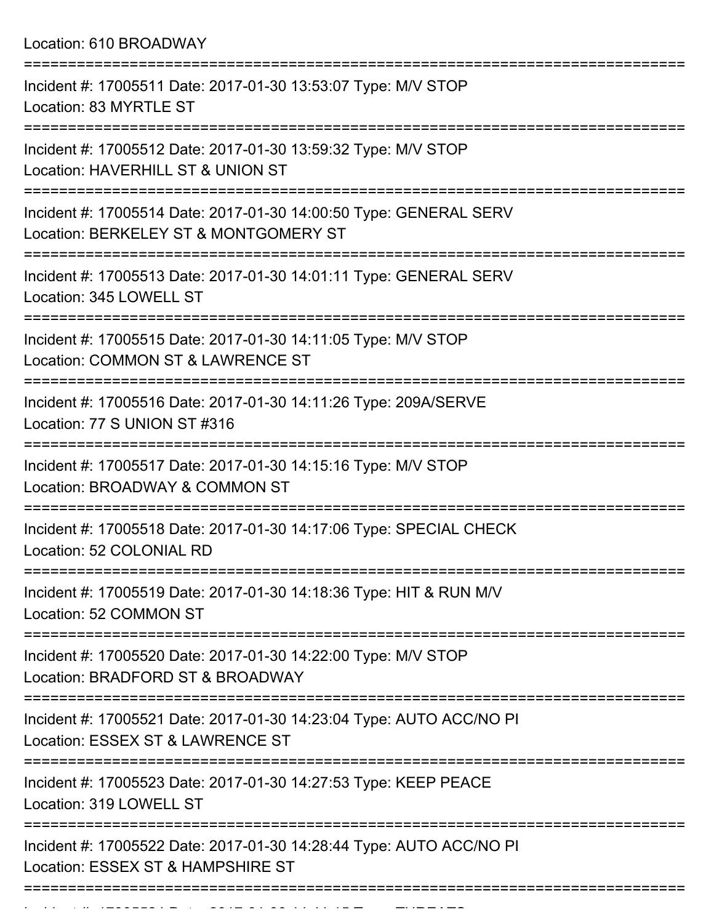Location: 610 BROADWAY

| Incident #: 17005511 Date: 2017-01-30 13:53:07 Type: M/V STOP<br>Location: 83 MYRTLE ST                                               |
|---------------------------------------------------------------------------------------------------------------------------------------|
| Incident #: 17005512 Date: 2017-01-30 13:59:32 Type: M/V STOP<br>Location: HAVERHILL ST & UNION ST                                    |
| Incident #: 17005514 Date: 2017-01-30 14:00:50 Type: GENERAL SERV<br>Location: BERKELEY ST & MONTGOMERY ST                            |
| Incident #: 17005513 Date: 2017-01-30 14:01:11 Type: GENERAL SERV<br>Location: 345 LOWELL ST                                          |
| Incident #: 17005515 Date: 2017-01-30 14:11:05 Type: M/V STOP<br>Location: COMMON ST & LAWRENCE ST                                    |
| Incident #: 17005516 Date: 2017-01-30 14:11:26 Type: 209A/SERVE<br>Location: 77 S UNION ST #316<br>----------------<br>-------------- |
| Incident #: 17005517 Date: 2017-01-30 14:15:16 Type: M/V STOP<br>Location: BROADWAY & COMMON ST                                       |
| Incident #: 17005518 Date: 2017-01-30 14:17:06 Type: SPECIAL CHECK<br>Location: 52 COLONIAL RD                                        |
| Incident #: 17005519 Date: 2017-01-30 14:18:36 Type: HIT & RUN M/V<br>Location: 52 COMMON ST                                          |
| Incident #: 17005520 Date: 2017-01-30 14:22:00 Type: M/V STOP<br>Location: BRADFORD ST & BROADWAY                                     |
| Incident #: 17005521 Date: 2017-01-30 14:23:04 Type: AUTO ACC/NO PI<br>Location: ESSEX ST & LAWRENCE ST                               |
| Incident #: 17005523 Date: 2017-01-30 14:27:53 Type: KEEP PEACE<br>Location: 319 LOWELL ST                                            |
| Incident #: 17005522 Date: 2017-01-30 14:28:44 Type: AUTO ACC/NO PI<br>Location: ESSEX ST & HAMPSHIRE ST                              |
|                                                                                                                                       |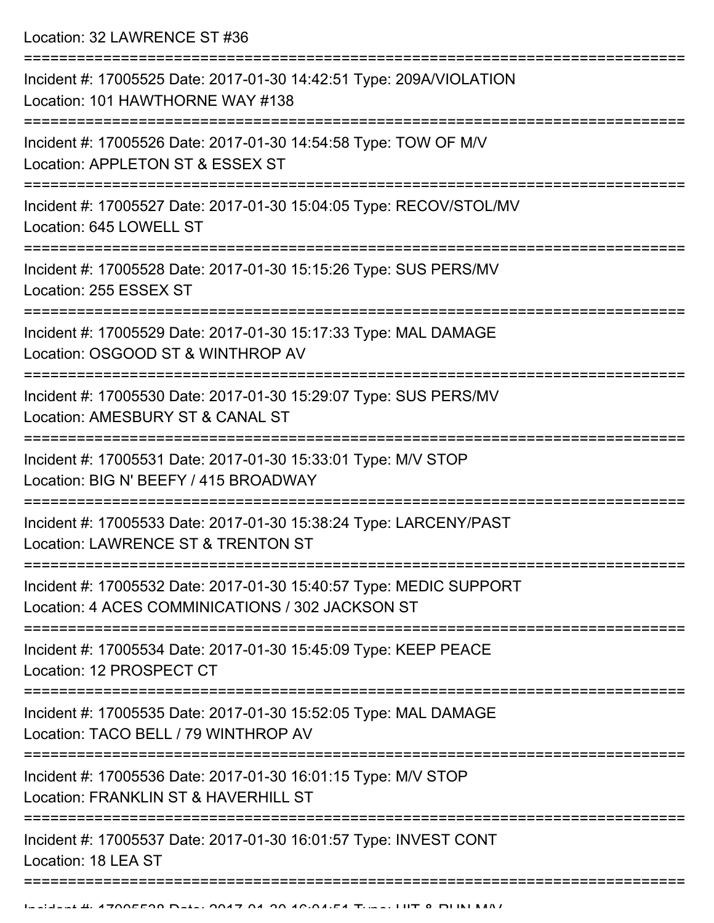Location: 32 LAWRENCE ST #36

| Incident #: 17005525 Date: 2017-01-30 14:42:51 Type: 209A/VIOLATION<br>Location: 101 HAWTHORNE WAY #138                               |
|---------------------------------------------------------------------------------------------------------------------------------------|
| Incident #: 17005526 Date: 2017-01-30 14:54:58 Type: TOW OF M/V<br>Location: APPLETON ST & ESSEX ST                                   |
| Incident #: 17005527 Date: 2017-01-30 15:04:05 Type: RECOV/STOL/MV<br>Location: 645 LOWELL ST                                         |
| Incident #: 17005528 Date: 2017-01-30 15:15:26 Type: SUS PERS/MV<br>Location: 255 ESSEX ST                                            |
| Incident #: 17005529 Date: 2017-01-30 15:17:33 Type: MAL DAMAGE<br>Location: OSGOOD ST & WINTHROP AV                                  |
| Incident #: 17005530 Date: 2017-01-30 15:29:07 Type: SUS PERS/MV<br>Location: AMESBURY ST & CANAL ST                                  |
| Incident #: 17005531 Date: 2017-01-30 15:33:01 Type: M/V STOP<br>Location: BIG N' BEEFY / 415 BROADWAY                                |
| Incident #: 17005533 Date: 2017-01-30 15:38:24 Type: LARCENY/PAST<br>Location: LAWRENCE ST & TRENTON ST                               |
| Incident #: 17005532 Date: 2017-01-30 15:40:57 Type: MEDIC SUPPORT<br>Location: 4 ACES COMMINICATIONS / 302 JACKSON ST                |
| Incident #: 17005534 Date: 2017-01-30 15:45:09 Type: KEEP PEACE<br>Location: 12 PROSPECT CT                                           |
| --------------------------<br>Incident #: 17005535 Date: 2017-01-30 15:52:05 Type: MAL DAMAGE<br>Location: TACO BELL / 79 WINTHROP AV |
| Incident #: 17005536 Date: 2017-01-30 16:01:15 Type: M/V STOP<br>Location: FRANKLIN ST & HAVERHILL ST                                 |
| Incident #: 17005537 Date: 2017-01-30 16:01:57 Type: INVEST CONT<br>Location: 18 LEA ST                                               |
|                                                                                                                                       |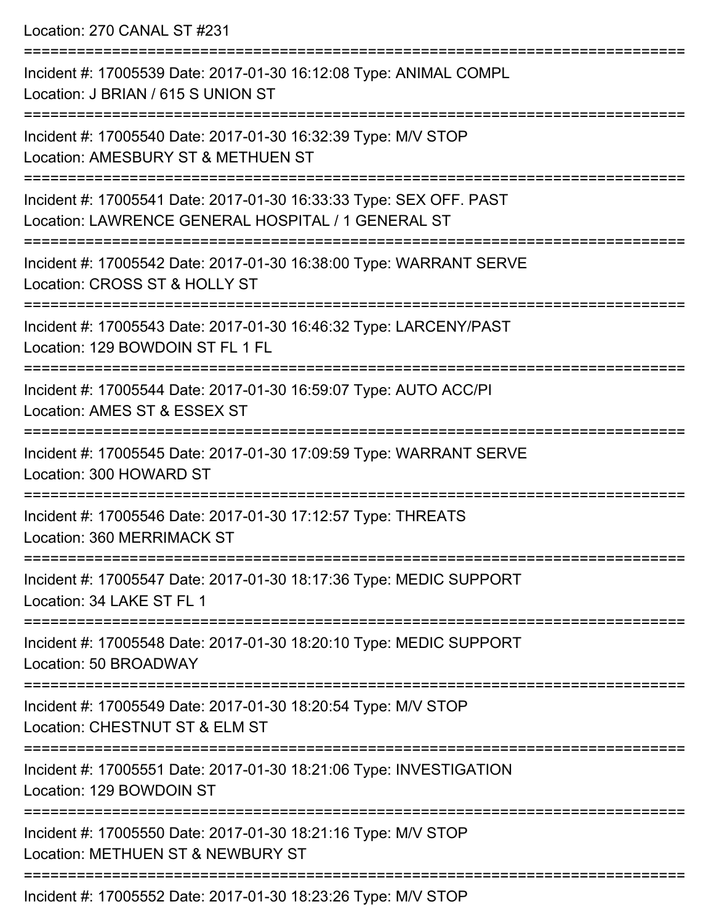Location: 270 CANAL ST #231

=========================================================================== Incident #: 17005539 Date: 2017-01-30 16:12:08 Type: ANIMAL COMPL Location: J BRIAN / 615 S UNION ST =========================================================================== Incident #: 17005540 Date: 2017-01-30 16:32:39 Type: M/V STOP Location: AMESBURY ST & METHUEN ST =========================================================================== Incident #: 17005541 Date: 2017-01-30 16:33:33 Type: SEX OFF. PAST Location: LAWRENCE GENERAL HOSPITAL / 1 GENERAL ST =========================================================================== Incident #: 17005542 Date: 2017-01-30 16:38:00 Type: WARRANT SERVE Location: CROSS ST & HOLLY ST =========================================================================== Incident #: 17005543 Date: 2017-01-30 16:46:32 Type: LARCENY/PAST Location: 129 BOWDOIN ST FL 1 FL =========================================================================== Incident #: 17005544 Date: 2017-01-30 16:59:07 Type: AUTO ACC/PI Location: AMES ST & ESSEX ST =========================================================================== Incident #: 17005545 Date: 2017-01-30 17:09:59 Type: WARRANT SERVE Location: 300 HOWARD ST =========================================================================== Incident #: 17005546 Date: 2017-01-30 17:12:57 Type: THREATS Location: 360 MERRIMACK ST =========================================================================== Incident #: 17005547 Date: 2017-01-30 18:17:36 Type: MEDIC SUPPORT Location: 34 LAKE ST FL 1 =========================================================================== Incident #: 17005548 Date: 2017-01-30 18:20:10 Type: MEDIC SUPPORT Location: 50 BROADWAY =========================================================================== Incident #: 17005549 Date: 2017-01-30 18:20:54 Type: M/V STOP Location: CHESTNUT ST & FLM ST =========================================================================== Incident #: 17005551 Date: 2017-01-30 18:21:06 Type: INVESTIGATION Location: 129 BOWDOIN ST =========================================================================== Incident #: 17005550 Date: 2017-01-30 18:21:16 Type: M/V STOP Location: METHUEN ST & NEWBURY ST ===========================================================================

Incident #: 17005552 Date: 2017-01-30 18:23:26 Type: M/V STOP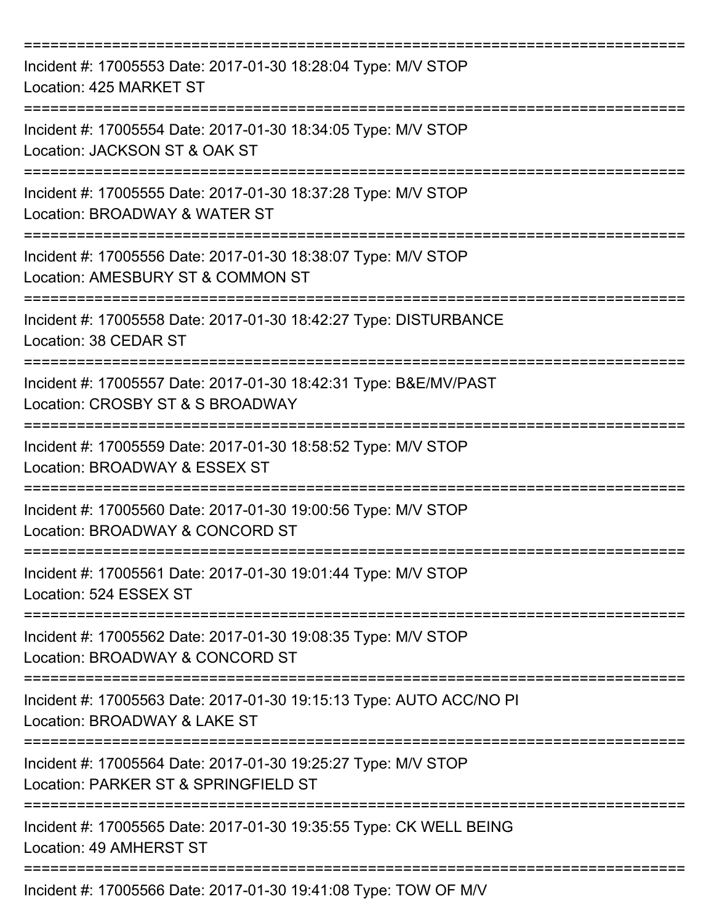| Incident #: 17005553 Date: 2017-01-30 18:28:04 Type: M/V STOP<br>Location: 425 MARKET ST                                                 |
|------------------------------------------------------------------------------------------------------------------------------------------|
| Incident #: 17005554 Date: 2017-01-30 18:34:05 Type: M/V STOP<br>Location: JACKSON ST & OAK ST                                           |
| Incident #: 17005555 Date: 2017-01-30 18:37:28 Type: M/V STOP<br>Location: BROADWAY & WATER ST                                           |
| Incident #: 17005556 Date: 2017-01-30 18:38:07 Type: M/V STOP<br>Location: AMESBURY ST & COMMON ST                                       |
| Incident #: 17005558 Date: 2017-01-30 18:42:27 Type: DISTURBANCE<br>Location: 38 CEDAR ST                                                |
| ================================<br>Incident #: 17005557 Date: 2017-01-30 18:42:31 Type: B&E/MV/PAST<br>Location: CROSBY ST & S BROADWAY |
| Incident #: 17005559 Date: 2017-01-30 18:58:52 Type: M/V STOP<br>Location: BROADWAY & ESSEX ST                                           |
| Incident #: 17005560 Date: 2017-01-30 19:00:56 Type: M/V STOP<br>Location: BROADWAY & CONCORD ST                                         |
| Incident #: 17005561 Date: 2017-01-30 19:01:44 Type: M/V STOP<br>Location: 524 ESSEX ST                                                  |
| Incident #: 17005562 Date: 2017-01-30 19:08:35 Type: M/V STOP<br>Location: BROADWAY & CONCORD ST                                         |
| Incident #: 17005563 Date: 2017-01-30 19:15:13 Type: AUTO ACC/NO PI<br>Location: BROADWAY & LAKE ST                                      |
| Incident #: 17005564 Date: 2017-01-30 19:25:27 Type: M/V STOP<br>Location: PARKER ST & SPRINGFIELD ST                                    |
| Incident #: 17005565 Date: 2017-01-30 19:35:55 Type: CK WELL BEING<br>Location: 49 AMHERST ST                                            |
| Incident #: 17005566 Date: 2017-01-30 19:41:08 Type: TOW OF M/V                                                                          |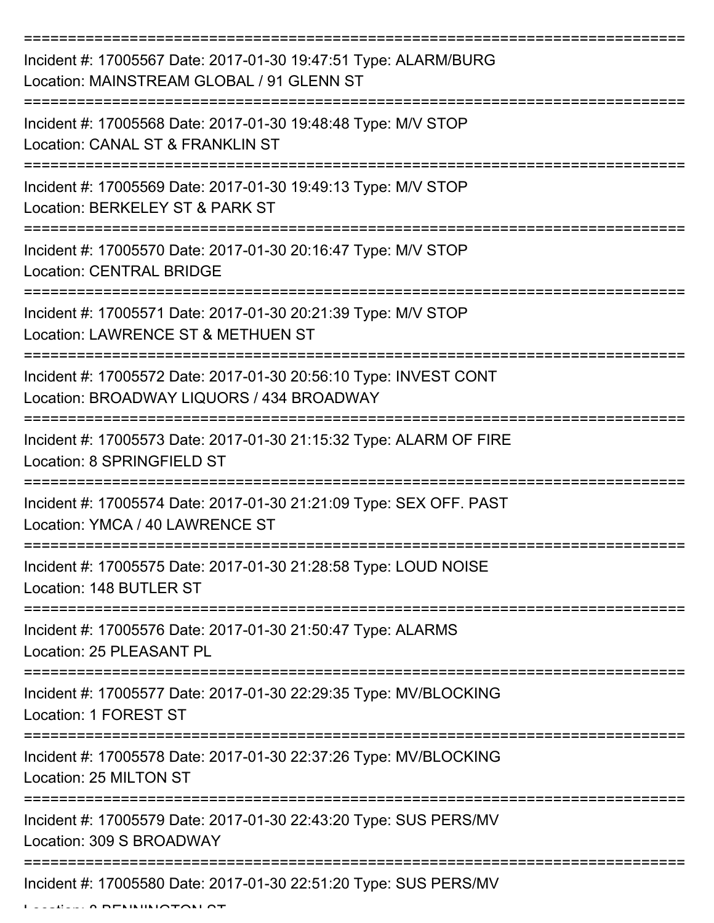| Incident #: 17005567 Date: 2017-01-30 19:47:51 Type: ALARM/BURG<br>Location: MAINSTREAM GLOBAL / 91 GLENN ST  |
|---------------------------------------------------------------------------------------------------------------|
| Incident #: 17005568 Date: 2017-01-30 19:48:48 Type: M/V STOP<br>Location: CANAL ST & FRANKLIN ST             |
| Incident #: 17005569 Date: 2017-01-30 19:49:13 Type: M/V STOP<br>Location: BERKELEY ST & PARK ST              |
| Incident #: 17005570 Date: 2017-01-30 20:16:47 Type: M/V STOP<br><b>Location: CENTRAL BRIDGE</b>              |
| Incident #: 17005571 Date: 2017-01-30 20:21:39 Type: M/V STOP<br>Location: LAWRENCE ST & METHUEN ST           |
| Incident #: 17005572 Date: 2017-01-30 20:56:10 Type: INVEST CONT<br>Location: BROADWAY LIQUORS / 434 BROADWAY |
| Incident #: 17005573 Date: 2017-01-30 21:15:32 Type: ALARM OF FIRE<br>Location: 8 SPRINGFIELD ST              |
| Incident #: 17005574 Date: 2017-01-30 21:21:09 Type: SEX OFF. PAST<br>Location: YMCA / 40 LAWRENCE ST         |
| Incident #: 17005575 Date: 2017-01-30 21:28:58 Type: LOUD NOISE<br>Location: 148 BUTLER ST                    |
| Incident #: 17005576 Date: 2017-01-30 21:50:47 Type: ALARMS<br>Location: 25 PLEASANT PL                       |
| Incident #: 17005577 Date: 2017-01-30 22:29:35 Type: MV/BLOCKING<br>Location: 1 FOREST ST                     |
| Incident #: 17005578 Date: 2017-01-30 22:37:26 Type: MV/BLOCKING<br>Location: 25 MILTON ST                    |
| Incident #: 17005579 Date: 2017-01-30 22:43:20 Type: SUS PERS/MV<br>Location: 309 S BROADWAY                  |
| Incident #: 17005580 Date: 2017-01-30 22:51:20 Type: SUS PERS/MV                                              |